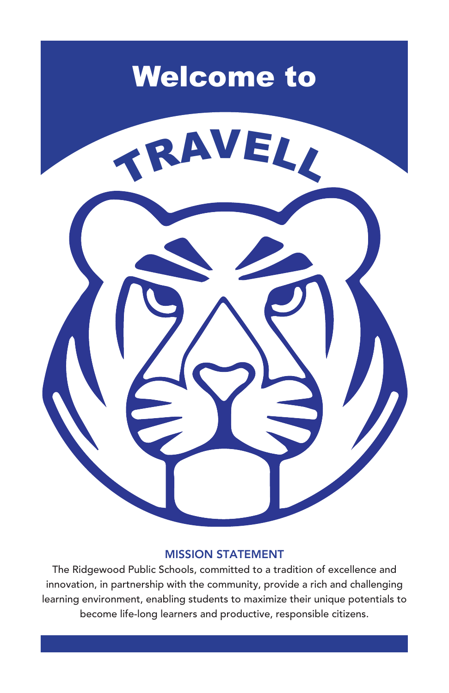

#### **MISSION STATEMENT**

The Ridgewood Public Schools, committed to a tradition of excellence and innovation, in partnership with the community, provide a rich and challenging learning environment, enabling students to maximize their unique potentials to become life-long learners and productive, responsible citizens.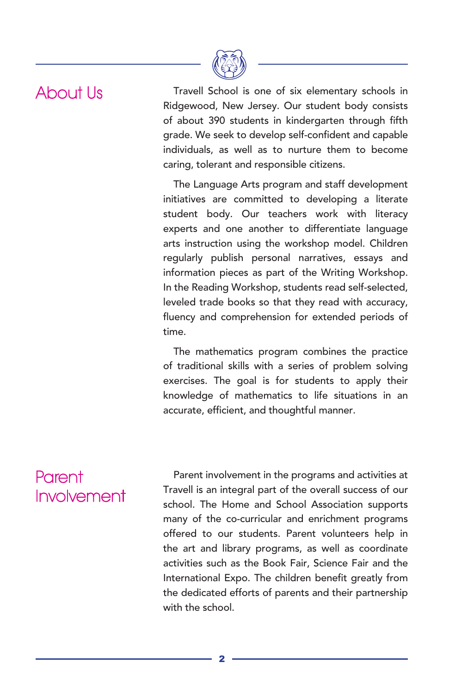## About Us

Travell School is one of six elementary schools in Ridgewood, New Jersey. Our student body consists of about 390 students in kindergarten through fifth grade. We seek to develop self-confident and capable individuals, as well as to nurture them to become caring, tolerant and responsible citizens.

The Language Arts program and staff development initiatives are committed to developing a literate student body. Our teachers work with literacy experts and one another to differentiate language arts instruction using the workshop model. Children regularly publish personal narratives, essays and information pieces as part of the Writing Workshop. In the Reading Workshop, students read self-selected, leveled trade books so that they read with accuracy, fluency and comprehension for extended periods of time.

The mathematics program combines the practice of traditional skills with a series of problem solving exercises. The goal is for students to apply their knowledge of mathematics to life situations in an accurate, efficient, and thoughtful manner.

### Parent Involvement

Parent involvement in the programs and activities at Travell is an integral part of the overall success of our school. The Home and School Association supports many of the co-curricular and enrichment programs offered to our students. Parent volunteers help in the art and library programs, as well as coordinate activities such as the Book Fair, Science Fair and the International Expo. The children benefit greatly from the dedicated efforts of parents and their partnership with the school.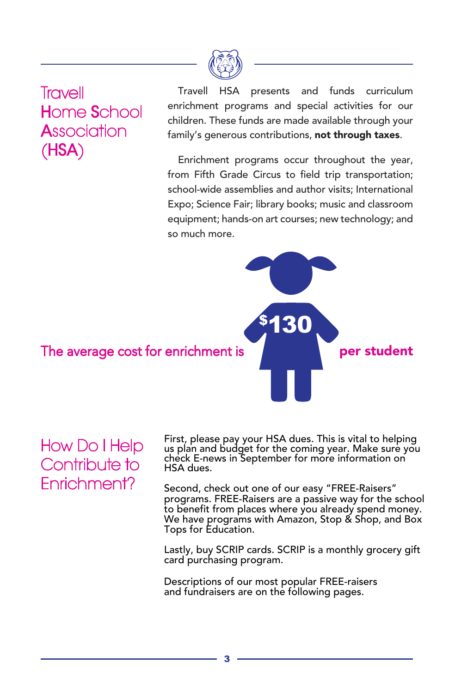

**Travell Home School A**ssociation  $(HSA)$ 

presents and funds curriculum Travell **HSA** enrichment programs and special activities for our children. These funds are made available through your family's generous contributions, not through taxes.

Enrichment programs occur throughout the year, from Fifth Grade Circus to field trip transportation; school-wide assemblies and author visits: International Expo; Science Fair; library books; music and classroom equipment; hands-on art courses; new technology; and so much more.



**How Do I Help** Contribute to Fnrichment?

First, please pay your HSA dues. This is vital to helping<br>us plan and budget for the coming year. Make sure you check E-news in September for more information on HSA dues.

Second, check out one of our easy "FREE-Raisers" programs. FREE-Raisers are a passive way for the school to benefit from places where you already spend money. We have programs with Amazon, Stop & Shop, and Box Tops for Education.

Lastly, buy SCRIP cards. SCRIP is a monthly grocery gift<br>card purchasing program.

Descriptions of our most popular FREE-raisers and fundraisers are on the following pages.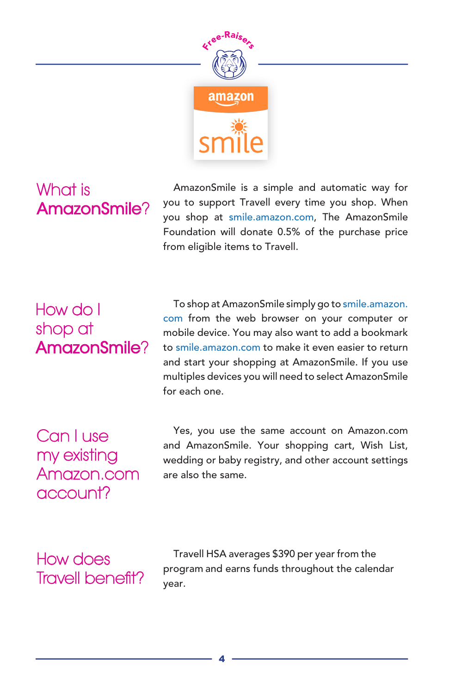

## What is AmazonSmile?

AmazonSmile is a simple and automatic way for you to support Travell every time you shop. When you shop at smile.amazon.com, The AmazonSmile Foundation will donate 0.5% of the purchase price from eligible items to Travell.

## How do I shop at AmazonSmile?

To shop at AmazonSmile simply go to smile.amazon. com from the web browser on your computer or mobile device. You may also want to add a bookmark to smile.amazon.com to make it even easier to return and start your shopping at AmazonSmile. If you use multiples devices you will need to select AmazonSmile for each one

Can I use my existing Amazon, com account?

Yes, you use the same account on Amazon.com and AmazonSmile. Your shopping cart, Wish List, wedding or baby registry, and other account settings are also the same

How does **Travell benefit?** 

Travell HSA averages \$390 per year from the program and earns funds throughout the calendar year.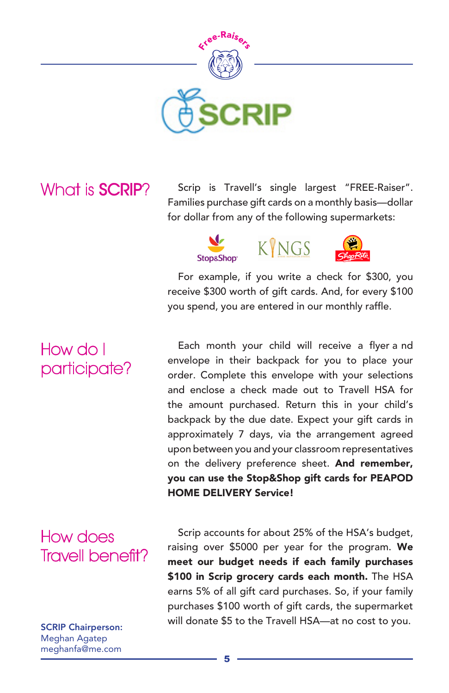

### What is **SCRIP**?

Scrip is Travell's single largest "FREE-Raiser". Families purchase gift cards on a monthly basis-dollar for dollar from any of the following supermarkets:





For example, if you write a check for \$300, you receive \$300 worth of gift cards. And, for every \$100 you spend, you are entered in our monthly raffle.

Each month your child will receive a flyer and envelope in their backpack for you to place your order. Complete this envelope with your selections and enclose a check made out to Travell HSA for the amount purchased. Return this in your child's backpack by the due date. Expect your gift cards in approximately 7 days, via the arrangement agreed upon between you and your classroom representatives on the delivery preference sheet. And remember, you can use the Stop&Shop gift cards for PEAPOD **HOME DELIVERY Service!** 

## How does Travell benefit?

**SCRIP Chairperson:** Meghan Agatep meghanfa@me.com

Scrip accounts for about 25% of the HSA's budget, raising over \$5000 per year for the program. We meet our budget needs if each family purchases \$100 in Scrip grocery cards each month. The HSA earns 5% of all gift card purchases. So, if your family purchases \$100 worth of gift cards, the supermarket will donate \$5 to the Travell HSA-at no cost to you.

# How do I participate?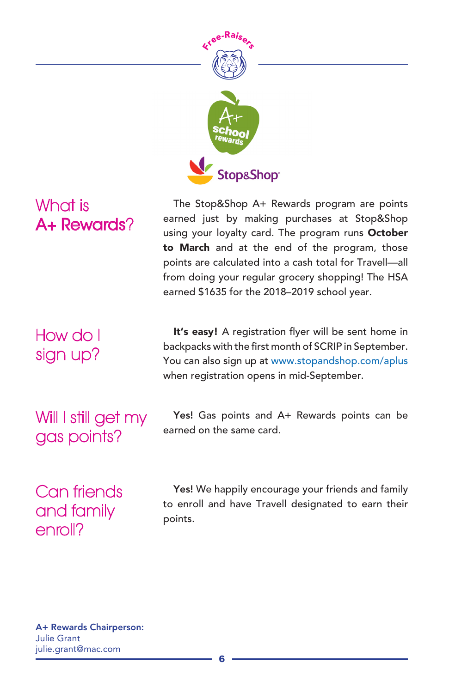

## What is A+ Rewards?

How do I sign up?

Will I still get my gas points?

The Stop&Shop A+ Rewards program are points earned just by making purchases at Stop&Shop using your loyalty card. The program runs October to March and at the end of the program, those points are calculated into a cash total for Travell-all from doing your regular grocery shopping! The HSA earned \$1635 for the 2018-2019 school year.

It's easy! A registration flyer will be sent home in backpacks with the first month of SCRIP in September. You can also sign up at www.stopandshop.com/aplus when registration opens in mid-September.

Yes! Gas points and A+ Rewards points can be earned on the same card.

Can friends and family enroll?

Yes! We happily encourage your friends and family to enroll and have Travell designated to earn their points.

A+ Rewards Chairperson: **Julie Grant** julie.grant@mac.com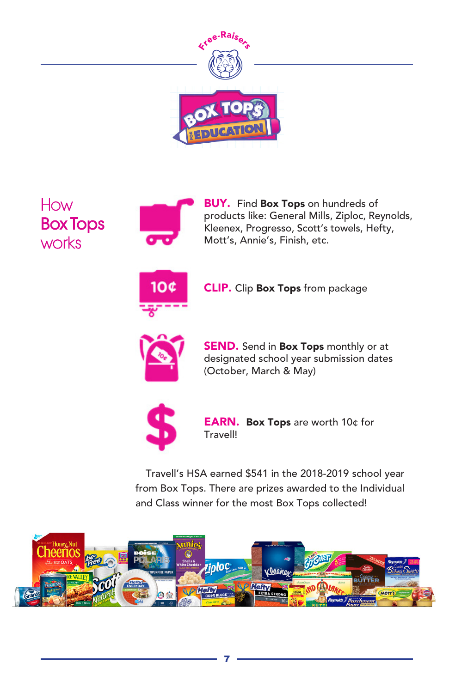

How **Box Tops** works



**BUY.** Find Box Tops on hundreds of products like: General Mills, Ziploc, Reynolds, Kleenex, Progresso, Scott's towels, Hefty, Mott's, Annie's, Finish, etc.



**CLIP.** Clip Box Tops from package



**SEND.** Send in Box Tops monthly or at designated school year submission dates (October, March & May)



EARN. Box Tops are worth 10¢ for Travell!

Travell's HSA earned \$541 in the 2018-2019 school year from Box Tops. There are prizes awarded to the Individual and Class winner for the most Box Tops collected!

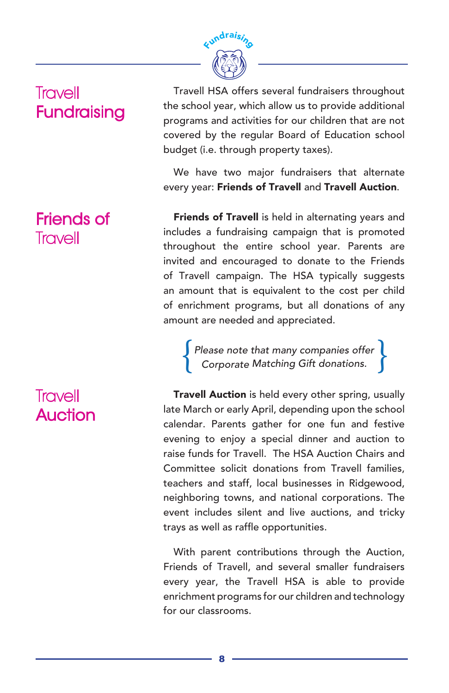

## **Travell Fundraising**

### **Friends of** Travell

## Travell **Auction**

Travell HSA offers several fundraisers throughout the school year, which allow us to provide additional programs and activities for our children that are not covered by the regular Board of Education school budget (i.e. through property taxes).

We have two major fundraisers that alternate every year: Friends of Travell and Travell Auction.

Friends of Travell is held in alternating years and includes a fundraising campaign that is promoted throughout the entire school year. Parents are invited and encouraged to donate to the Friends of Travell campaign. The HSA typically suggests an amount that is equivalent to the cost per child of enrichment programs, but all donations of any amount are needed and appreciated.

Please note that many companies offer<br>Corporate Matching Gift donations.

Travell Auction is held every other spring, usually late March or early April, depending upon the school calendar. Parents gather for one fun and festive evening to enjoy a special dinner and auction to raise funds for Travell. The HSA Auction Chairs and Committee solicit donations from Travell families, teachers and staff, local businesses in Ridgewood, neighboring towns, and national corporations. The event includes silent and live auctions, and tricky trays as well as raffle opportunities.

With parent contributions through the Auction, Friends of Travell, and several smaller fundraisers every year, the Travell HSA is able to provide enrichment programs for our children and technology for our classrooms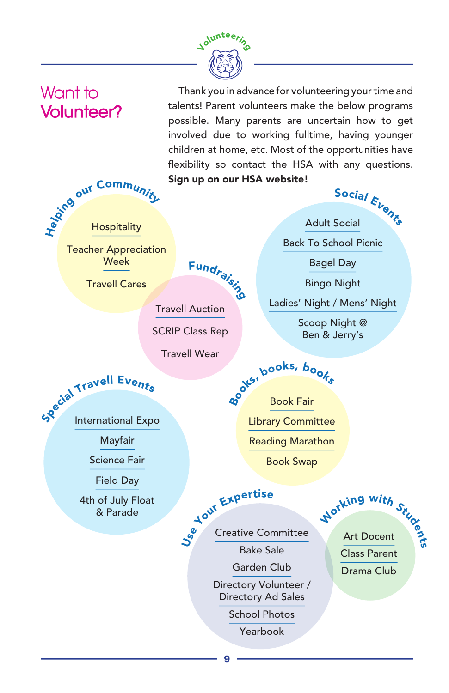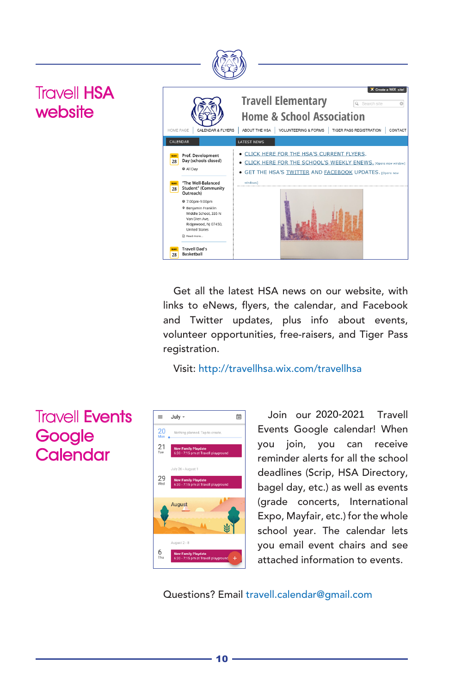

Get all the latest HSA news on our website, with links to eNews, flyers, the calendar, and Facebook and Twitter updates, plus info about events, volunteer opportunities, free-raisers, and Tiger Pass registration.

Visit: http://travellhsa.wix.com/travellhsa

### $\equiv$ July - $\frac{1}{20}$ 20 Nothing planned. Tap to cr  $\frac{21}{100}$  $29$ <br>Wed August  $6<sub>Thu</sub>$

Join our 2020-2021 Travell Events Google calendar! When you join, you can receive reminder alerts for all the school deadlines (Scrip, HSA Directory, bagel day, etc.) as well as events (grade concerts, International Expo, Mayfair, etc.) for the whole school year. The calendar lets you email event chairs and see attached information to events.

Questions? Email travell.calendar@qmail.com

## **Travell Events** Google Calendar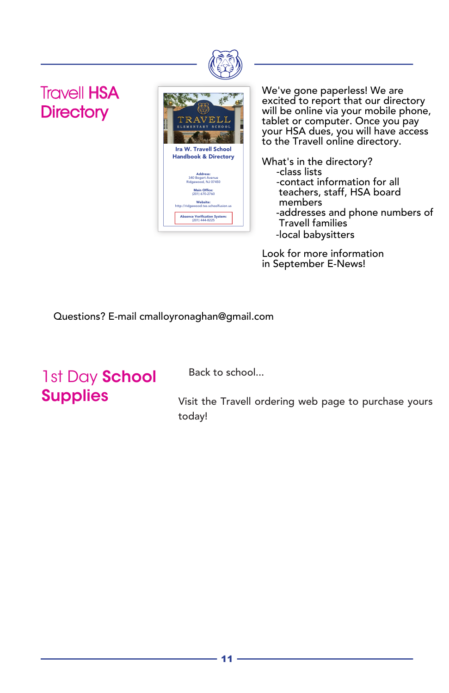

**Travell HSA Directory** 



We've gone paperless! We are excited to report that our directory will be online via your mobile phone, tablet or computer. Once you pay your HSA dues, you will have access to the Travell online directory.

What's in the directory? -class lists -contact information for all teachers, staff, HSA board members -addresses and phone numbers of Travell families -local babysitters

Questions? Email cmalloyronaghan@gmail.com Look for more information in September E-News!

Questions? E-mail cmalloyronaghan@gmail.com

# 1st Day School **Supplies**

Back to school...

Visit the Travell ordering web page to purchase yours today!